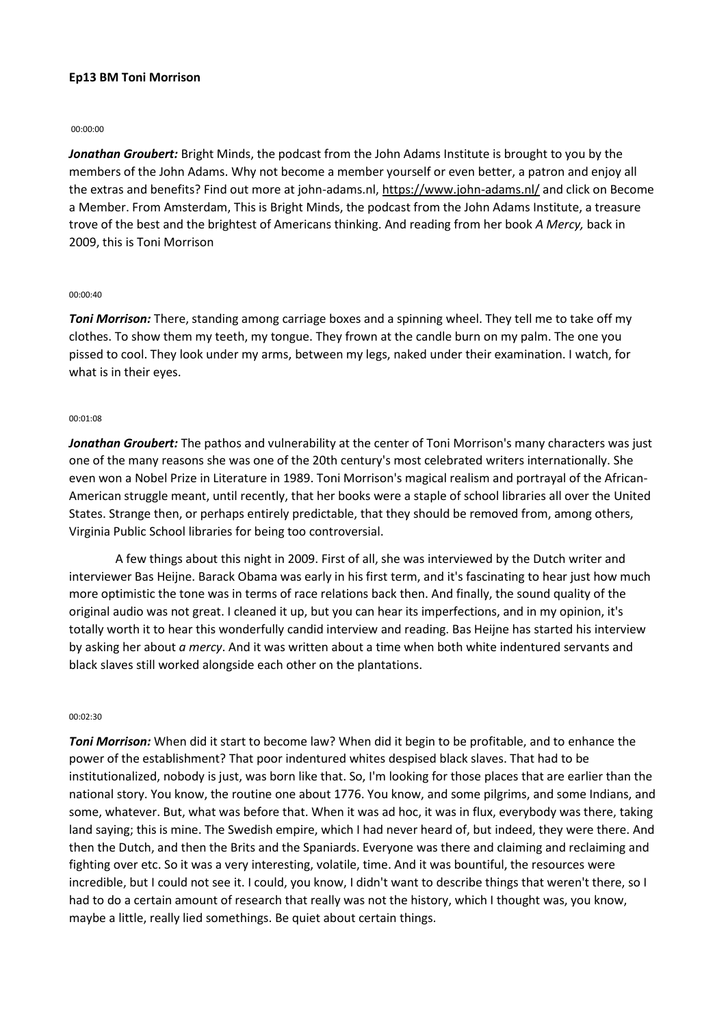# **Ep13 BM Toni Morrison**

#### 00:00:00

*Jonathan Groubert:* Bright Minds, the podcast from the John Adams Institute is brought to you by the members of the John Adams. Why not become a member yourself or even better, a patron and enjoy all the extras and benefits? Find out more at john-adams.nl,<https://www.john-adams.nl/> and click on Become a Member. From Amsterdam, This is Bright Minds, the podcast from the John Adams Institute, a treasure trove of the best and the brightest of Americans thinking. And reading from her book *A Mercy,* back in 2009, this is Toni Morrison

#### 00:00:40

*Toni Morrison:* There, standing among carriage boxes and a spinning wheel. They tell me to take off my clothes. To show them my teeth, my tongue. They frown at the candle burn on my palm. The one you pissed to cool. They look under my arms, between my legs, naked under their examination. I watch, for what is in their eyes.

#### 00:01:08

*Jonathan Groubert:* The pathos and vulnerability at the center of Toni Morrison's many characters was just one of the many reasons she was one of the 20th century's most celebrated writers internationally. She even won a Nobel Prize in Literature in 1989. Toni Morrison's magical realism and portrayal of the African-American struggle meant, until recently, that her books were a staple of school libraries all over the United States. Strange then, or perhaps entirely predictable, that they should be removed from, among others, Virginia Public School libraries for being too controversial.

A few things about this night in 2009. First of all, she was interviewed by the Dutch writer and interviewer Bas Heijne. Barack Obama was early in his first term, and it's fascinating to hear just how much more optimistic the tone was in terms of race relations back then. And finally, the sound quality of the original audio was not great. I cleaned it up, but you can hear its imperfections, and in my opinion, it's totally worth it to hear this wonderfully candid interview and reading. Bas Heijne has started his interview by asking her about *a mercy*. And it was written about a time when both white indentured servants and black slaves still worked alongside each other on the plantations.

#### 00:02:30

*Toni Morrison:* When did it start to become law? When did it begin to be profitable, and to enhance the power of the establishment? That poor indentured whites despised black slaves. That had to be institutionalized, nobody is just, was born like that. So, I'm looking for those places that are earlier than the national story. You know, the routine one about 1776. You know, and some pilgrims, and some Indians, and some, whatever. But, what was before that. When it was ad hoc, it was in flux, everybody was there, taking land saying; this is mine. The Swedish empire, which I had never heard of, but indeed, they were there. And then the Dutch, and then the Brits and the Spaniards. Everyone was there and claiming and reclaiming and fighting over etc. So it was a very interesting, volatile, time. And it was bountiful, the resources were incredible, but I could not see it. I could, you know, I didn't want to describe things that weren't there, so I had to do a certain amount of research that really was not the history, which I thought was, you know, maybe a little, really lied somethings. Be quiet about certain things.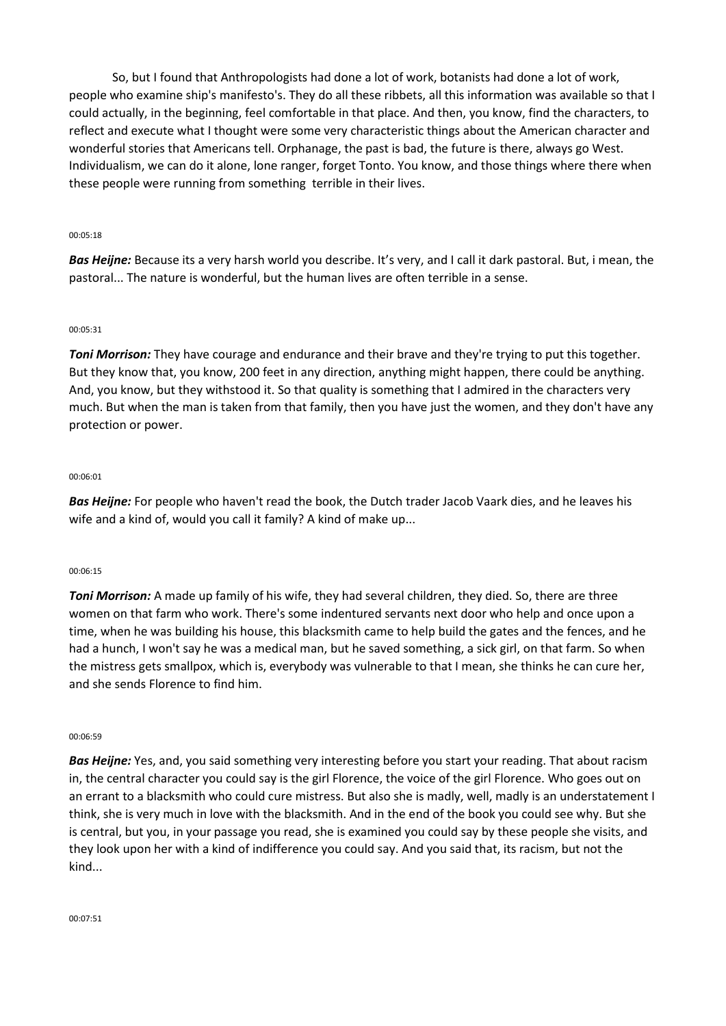So, but I found that Anthropologists had done a lot of work, botanists had done a lot of work, people who examine ship's manifesto's. They do all these ribbets, all this information was available so that I could actually, in the beginning, feel comfortable in that place. And then, you know, find the characters, to reflect and execute what I thought were some very characteristic things about the American character and wonderful stories that Americans tell. Orphanage, the past is bad, the future is there, always go West. Individualism, we can do it alone, lone ranger, forget Tonto. You know, and those things where there when these people were running from something terrible in their lives.

### 00:05:18

*Bas Heijne:* Because its a very harsh world you describe. It's very, and I call it dark pastoral. But, i mean, the pastoral... The nature is wonderful, but the human lives are often terrible in a sense.

## 00:05:31

*Toni Morrison:* They have courage and endurance and their brave and they're trying to put this together. But they know that, you know, 200 feet in any direction, anything might happen, there could be anything. And, you know, but they withstood it. So that quality is something that I admired in the characters very much. But when the man is taken from that family, then you have just the women, and they don't have any protection or power.

### 00:06:01

*Bas Heijne:* For people who haven't read the book, the Dutch trader Jacob Vaark dies, and he leaves his wife and a kind of, would you call it family? A kind of make up...

### 00:06:15

*Toni Morrison:* A made up family of his wife, they had several children, they died. So, there are three women on that farm who work. There's some indentured servants next door who help and once upon a time, when he was building his house, this blacksmith came to help build the gates and the fences, and he had a hunch, I won't say he was a medical man, but he saved something, a sick girl, on that farm. So when the mistress gets smallpox, which is, everybody was vulnerable to that I mean, she thinks he can cure her, and she sends Florence to find him.

### 00:06:59

*Bas Heijne:* Yes, and, you said something very interesting before you start your reading. That about racism in, the central character you could say is the girl Florence, the voice of the girl Florence. Who goes out on an errant to a blacksmith who could cure mistress. But also she is madly, well, madly is an understatement I think, she is very much in love with the blacksmith. And in the end of the book you could see why. But she is central, but you, in your passage you read, she is examined you could say by these people she visits, and they look upon her with a kind of indifference you could say. And you said that, its racism, but not the kind...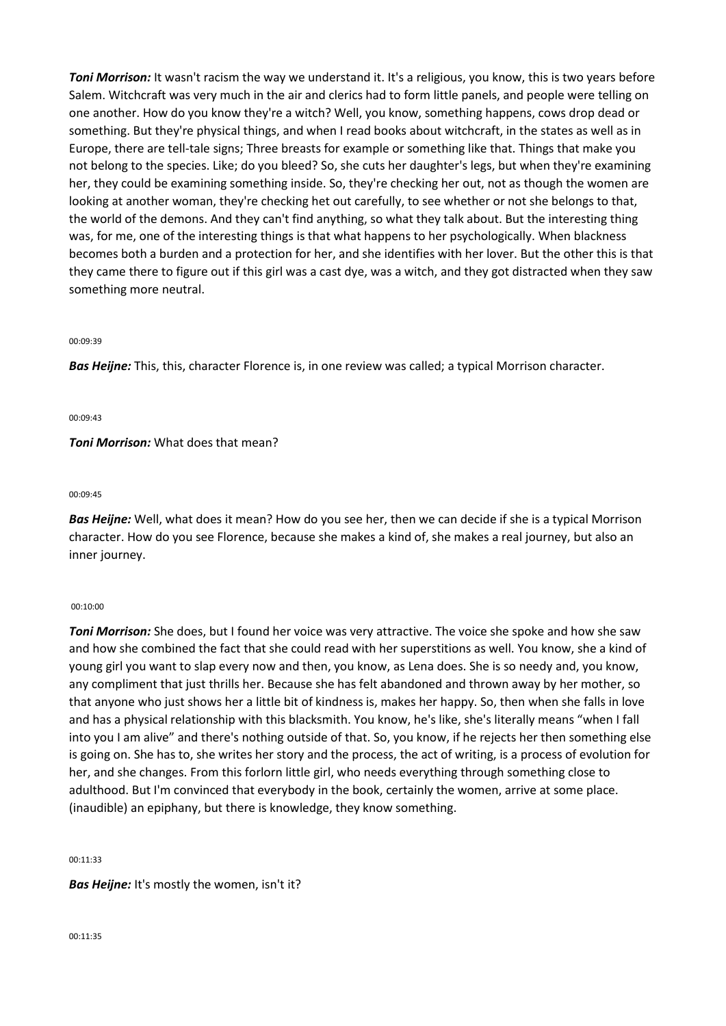*Toni Morrison:* It wasn't racism the way we understand it. It's a religious, you know, this is two years before Salem. Witchcraft was very much in the air and clerics had to form little panels, and people were telling on one another. How do you know they're a witch? Well, you know, something happens, cows drop dead or something. But they're physical things, and when I read books about witchcraft, in the states as well as in Europe, there are tell-tale signs; Three breasts for example or something like that. Things that make you not belong to the species. Like; do you bleed? So, she cuts her daughter's legs, but when they're examining her, they could be examining something inside. So, they're checking her out, not as though the women are looking at another woman, they're checking het out carefully, to see whether or not she belongs to that, the world of the demons. And they can't find anything, so what they talk about. But the interesting thing was, for me, one of the interesting things is that what happens to her psychologically. When blackness becomes both a burden and a protection for her, and she identifies with her lover. But the other this is that they came there to figure out if this girl was a cast dye, was a witch, and they got distracted when they saw something more neutral.

#### 00:09:39

*Bas Heijne:* This, this, character Florence is, in one review was called; a typical Morrison character.

00:09:43

# *Toni Morrison:* What does that mean?

#### 00:09:45

*Bas Heijne:* Well, what does it mean? How do you see her, then we can decide if she is a typical Morrison character. How do you see Florence, because she makes a kind of, she makes a real journey, but also an inner journey.

#### 00:10:00

*Toni Morrison:* She does, but I found her voice was very attractive. The voice she spoke and how she saw and how she combined the fact that she could read with her superstitions as well. You know, she a kind of young girl you want to slap every now and then, you know, as Lena does. She is so needy and, you know, any compliment that just thrills her. Because she has felt abandoned and thrown away by her mother, so that anyone who just shows her a little bit of kindness is, makes her happy. So, then when she falls in love and has a physical relationship with this blacksmith. You know, he's like, she's literally means "when I fall into you I am alive" and there's nothing outside of that. So, you know, if he rejects her then something else is going on. She has to, she writes her story and the process, the act of writing, is a process of evolution for her, and she changes. From this forlorn little girl, who needs everything through something close to adulthood. But I'm convinced that everybody in the book, certainly the women, arrive at some place. (inaudible) an epiphany, but there is knowledge, they know something.

#### 00:11:33

### *Bas Heijne:* It's mostly the women, isn't it?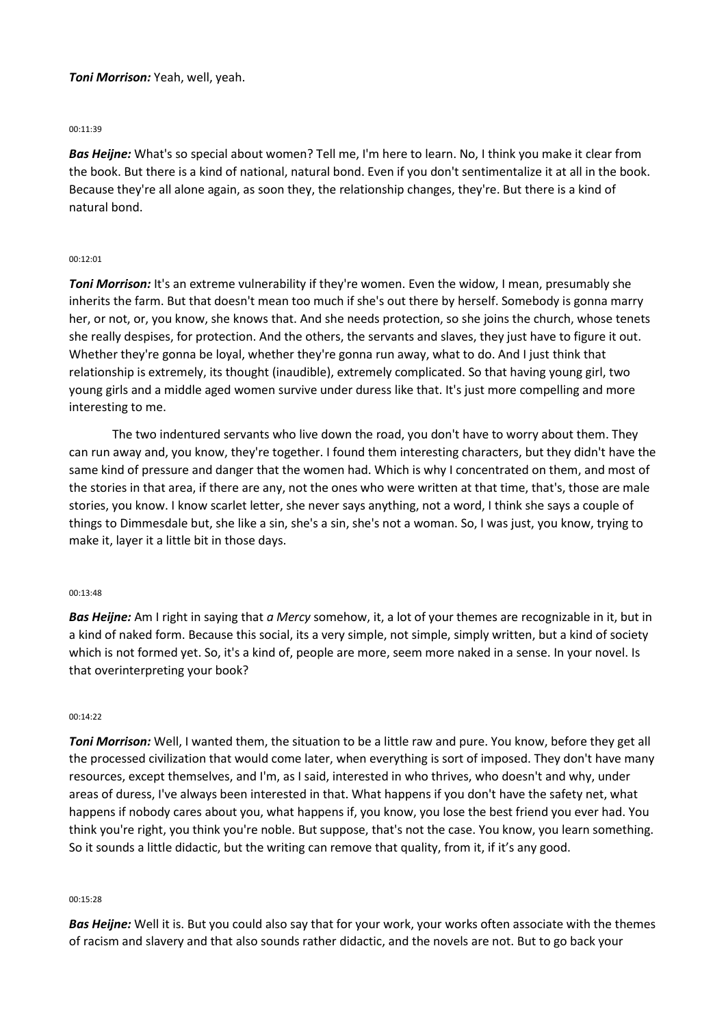# *Toni Morrison:* Yeah, well, yeah.

### 00:11:39

*Bas Heijne:* What's so special about women? Tell me, I'm here to learn. No, I think you make it clear from the book. But there is a kind of national, natural bond. Even if you don't sentimentalize it at all in the book. Because they're all alone again, as soon they, the relationship changes, they're. But there is a kind of natural bond.

## 00:12:01

*Toni Morrison:* It's an extreme vulnerability if they're women. Even the widow, I mean, presumably she inherits the farm. But that doesn't mean too much if she's out there by herself. Somebody is gonna marry her, or not, or, you know, she knows that. And she needs protection, so she joins the church, whose tenets she really despises, for protection. And the others, the servants and slaves, they just have to figure it out. Whether they're gonna be loyal, whether they're gonna run away, what to do. And I just think that relationship is extremely, its thought (inaudible), extremely complicated. So that having young girl, two young girls and a middle aged women survive under duress like that. It's just more compelling and more interesting to me.

The two indentured servants who live down the road, you don't have to worry about them. They can run away and, you know, they're together. I found them interesting characters, but they didn't have the same kind of pressure and danger that the women had. Which is why I concentrated on them, and most of the stories in that area, if there are any, not the ones who were written at that time, that's, those are male stories, you know. I know scarlet letter, she never says anything, not a word, I think she says a couple of things to Dimmesdale but, she like a sin, she's a sin, she's not a woman. So, I was just, you know, trying to make it, layer it a little bit in those days.

### 00:13:48

*Bas Heijne:* Am I right in saying that *a Mercy* somehow, it, a lot of your themes are recognizable in it, but in a kind of naked form. Because this social, its a very simple, not simple, simply written, but a kind of society which is not formed yet. So, it's a kind of, people are more, seem more naked in a sense. In your novel. Is that overinterpreting your book?

### $00.14.22$

*Toni Morrison:* Well, I wanted them, the situation to be a little raw and pure. You know, before they get all the processed civilization that would come later, when everything is sort of imposed. They don't have many resources, except themselves, and I'm, as I said, interested in who thrives, who doesn't and why, under areas of duress, I've always been interested in that. What happens if you don't have the safety net, what happens if nobody cares about you, what happens if, you know, you lose the best friend you ever had. You think you're right, you think you're noble. But suppose, that's not the case. You know, you learn something. So it sounds a little didactic, but the writing can remove that quality, from it, if it's any good.

#### 00:15:28

*Bas Heijne:* Well it is. But you could also say that for your work, your works often associate with the themes of racism and slavery and that also sounds rather didactic, and the novels are not. But to go back your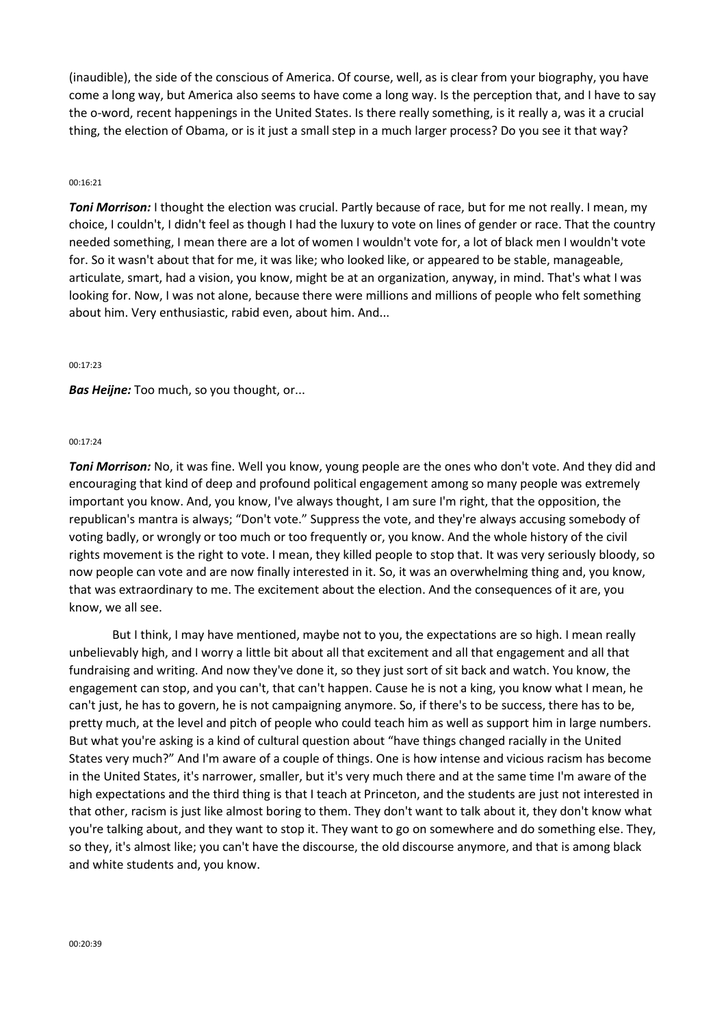(inaudible), the side of the conscious of America. Of course, well, as is clear from your biography, you have come a long way, but America also seems to have come a long way. Is the perception that, and I have to say the o-word, recent happenings in the United States. Is there really something, is it really a, was it a crucial thing, the election of Obama, or is it just a small step in a much larger process? Do you see it that way?

### 00:16:21

*Toni Morrison:* I thought the election was crucial. Partly because of race, but for me not really. I mean, my choice, I couldn't, I didn't feel as though I had the luxury to vote on lines of gender or race. That the country needed something, I mean there are a lot of women I wouldn't vote for, a lot of black men I wouldn't vote for. So it wasn't about that for me, it was like; who looked like, or appeared to be stable, manageable, articulate, smart, had a vision, you know, might be at an organization, anyway, in mind. That's what I was looking for. Now, I was not alone, because there were millions and millions of people who felt something about him. Very enthusiastic, rabid even, about him. And...

#### 00:17:23

*Bas Heijne:* Too much, so you thought, or...

#### 00:17:24

*Toni Morrison:* No, it was fine. Well you know, young people are the ones who don't vote. And they did and encouraging that kind of deep and profound political engagement among so many people was extremely important you know. And, you know, I've always thought, I am sure I'm right, that the opposition, the republican's mantra is always; "Don't vote." Suppress the vote, and they're always accusing somebody of voting badly, or wrongly or too much or too frequently or, you know. And the whole history of the civil rights movement is the right to vote. I mean, they killed people to stop that. It was very seriously bloody, so now people can vote and are now finally interested in it. So, it was an overwhelming thing and, you know, that was extraordinary to me. The excitement about the election. And the consequences of it are, you know, we all see.

But I think, I may have mentioned, maybe not to you, the expectations are so high. I mean really unbelievably high, and I worry a little bit about all that excitement and all that engagement and all that fundraising and writing. And now they've done it, so they just sort of sit back and watch. You know, the engagement can stop, and you can't, that can't happen. Cause he is not a king, you know what I mean, he can't just, he has to govern, he is not campaigning anymore. So, if there's to be success, there has to be, pretty much, at the level and pitch of people who could teach him as well as support him in large numbers. But what you're asking is a kind of cultural question about "have things changed racially in the United States very much?" And I'm aware of a couple of things. One is how intense and vicious racism has become in the United States, it's narrower, smaller, but it's very much there and at the same time I'm aware of the high expectations and the third thing is that I teach at Princeton, and the students are just not interested in that other, racism is just like almost boring to them. They don't want to talk about it, they don't know what you're talking about, and they want to stop it. They want to go on somewhere and do something else. They, so they, it's almost like; you can't have the discourse, the old discourse anymore, and that is among black and white students and, you know.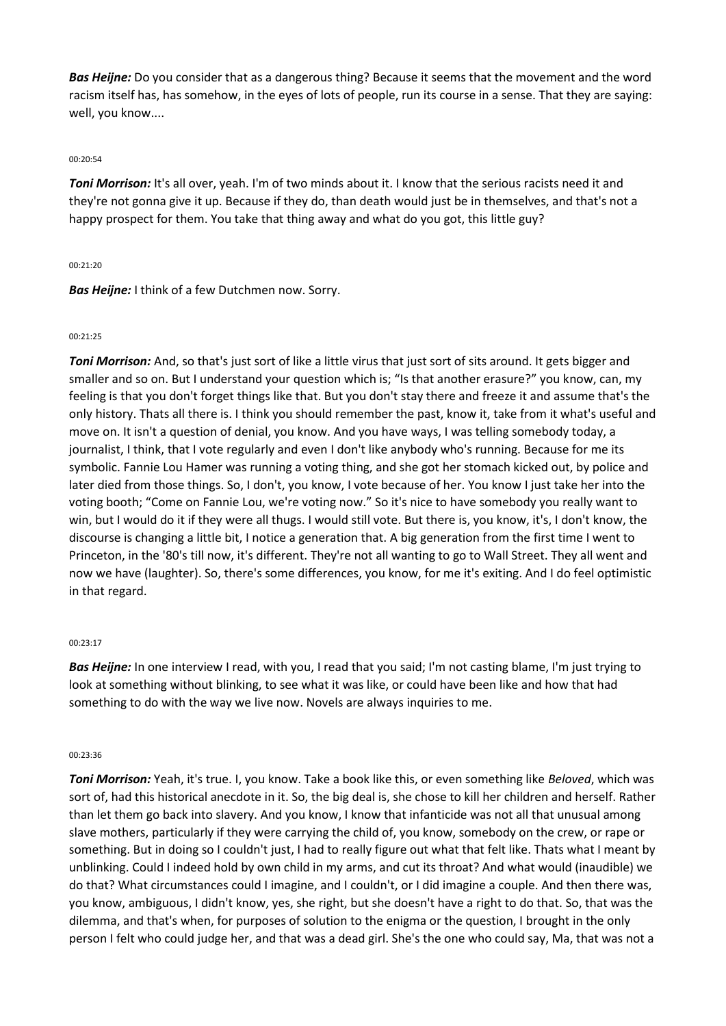*Bas Heijne:* Do you consider that as a dangerous thing? Because it seems that the movement and the word racism itself has, has somehow, in the eyes of lots of people, run its course in a sense. That they are saying: well, you know....

# 00:20:54

*Toni Morrison:* It's all over, yeah. I'm of two minds about it. I know that the serious racists need it and they're not gonna give it up. Because if they do, than death would just be in themselves, and that's not a happy prospect for them. You take that thing away and what do you got, this little guy?

## 00:21:20

*Bas Heijne:* I think of a few Dutchmen now. Sorry.

## 00:21:25

*Toni Morrison:* And, so that's just sort of like a little virus that just sort of sits around. It gets bigger and smaller and so on. But I understand your question which is; "Is that another erasure?" you know, can, my feeling is that you don't forget things like that. But you don't stay there and freeze it and assume that's the only history. Thats all there is. I think you should remember the past, know it, take from it what's useful and move on. It isn't a question of denial, you know. And you have ways, I was telling somebody today, a journalist, I think, that I vote regularly and even I don't like anybody who's running. Because for me its symbolic. Fannie Lou Hamer was running a voting thing, and she got her stomach kicked out, by police and later died from those things. So, I don't, you know, I vote because of her. You know I just take her into the voting booth; "Come on Fannie Lou, we're voting now." So it's nice to have somebody you really want to win, but I would do it if they were all thugs. I would still vote. But there is, you know, it's, I don't know, the discourse is changing a little bit, I notice a generation that. A big generation from the first time I went to Princeton, in the '80's till now, it's different. They're not all wanting to go to Wall Street. They all went and now we have (laughter). So, there's some differences, you know, for me it's exiting. And I do feel optimistic in that regard.

### 00:23:17

*Bas Heijne:* In one interview I read, with you, I read that you said; I'm not casting blame, I'm just trying to look at something without blinking, to see what it was like, or could have been like and how that had something to do with the way we live now. Novels are always inquiries to me.

### 00:23:36

*Toni Morrison:* Yeah, it's true. I, you know. Take a book like this, or even something like *Beloved*, which was sort of, had this historical anecdote in it. So, the big deal is, she chose to kill her children and herself. Rather than let them go back into slavery. And you know, I know that infanticide was not all that unusual among slave mothers, particularly if they were carrying the child of, you know, somebody on the crew, or rape or something. But in doing so I couldn't just, I had to really figure out what that felt like. Thats what I meant by unblinking. Could I indeed hold by own child in my arms, and cut its throat? And what would (inaudible) we do that? What circumstances could I imagine, and I couldn't, or I did imagine a couple. And then there was, you know, ambiguous, I didn't know, yes, she right, but she doesn't have a right to do that. So, that was the dilemma, and that's when, for purposes of solution to the enigma or the question, I brought in the only person I felt who could judge her, and that was a dead girl. She's the one who could say, Ma, that was not a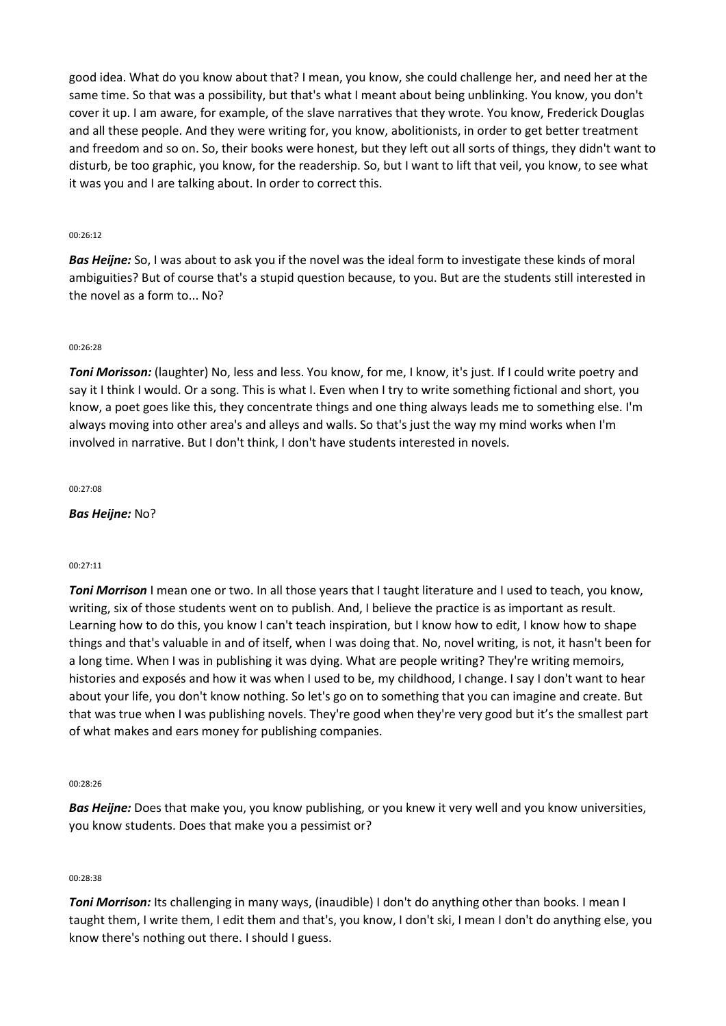good idea. What do you know about that? I mean, you know, she could challenge her, and need her at the same time. So that was a possibility, but that's what I meant about being unblinking. You know, you don't cover it up. I am aware, for example, of the slave narratives that they wrote. You know, Frederick Douglas and all these people. And they were writing for, you know, abolitionists, in order to get better treatment and freedom and so on. So, their books were honest, but they left out all sorts of things, they didn't want to disturb, be too graphic, you know, for the readership. So, but I want to lift that veil, you know, to see what it was you and I are talking about. In order to correct this.

## 00:26:12

*Bas Heijne:* So, I was about to ask you if the novel was the ideal form to investigate these kinds of moral ambiguities? But of course that's a stupid question because, to you. But are the students still interested in the novel as a form to... No?

## 00:26:28

*Toni Morisson:* (laughter) No, less and less. You know, for me, I know, it's just. If I could write poetry and say it I think I would. Or a song. This is what I. Even when I try to write something fictional and short, you know, a poet goes like this, they concentrate things and one thing always leads me to something else. I'm always moving into other area's and alleys and walls. So that's just the way my mind works when I'm involved in narrative. But I don't think, I don't have students interested in novels.

00:27:08

# *Bas Heijne:* No?

### 00:27:11

*Toni Morrison* I mean one or two. In all those years that I taught literature and I used to teach, you know, writing, six of those students went on to publish. And, I believe the practice is as important as result. Learning how to do this, you know I can't teach inspiration, but I know how to edit, I know how to shape things and that's valuable in and of itself, when I was doing that. No, novel writing, is not, it hasn't been for a long time. When I was in publishing it was dying. What are people writing? They're writing memoirs, histories and exposés and how it was when I used to be, my childhood, I change. I say I don't want to hear about your life, you don't know nothing. So let's go on to something that you can imagine and create. But that was true when I was publishing novels. They're good when they're very good but it's the smallest part of what makes and ears money for publishing companies.

### $00.28.26$

*Bas Heijne:* Does that make you, you know publishing, or you knew it very well and you know universities, you know students. Does that make you a pessimist or?

### 00:28:38

*Toni Morrison:* Its challenging in many ways, (inaudible) I don't do anything other than books. I mean I taught them, I write them, I edit them and that's, you know, I don't ski, I mean I don't do anything else, you know there's nothing out there. I should I guess.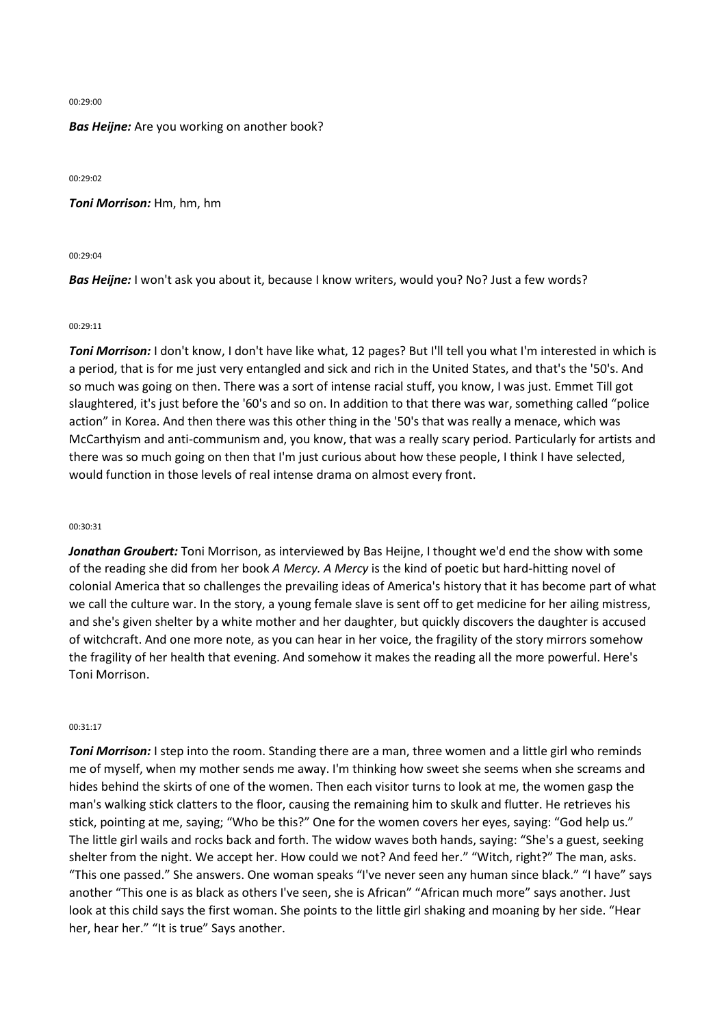#### 00:29:00

*Bas Heijne:* Are you working on another book?

00:29:02

*Toni Morrison:* Hm, hm, hm

00:29:04

*Bas Heijne:* I won't ask you about it, because I know writers, would you? No? Just a few words?

#### 00:29:11

*Toni Morrison:* I don't know, I don't have like what, 12 pages? But I'll tell you what I'm interested in which is a period, that is for me just very entangled and sick and rich in the United States, and that's the '50's. And so much was going on then. There was a sort of intense racial stuff, you know, I was just. Emmet Till got slaughtered, it's just before the '60's and so on. In addition to that there was war, something called "police action" in Korea. And then there was this other thing in the '50's that was really a menace, which was McCarthyism and anti-communism and, you know, that was a really scary period. Particularly for artists and there was so much going on then that I'm just curious about how these people, I think I have selected, would function in those levels of real intense drama on almost every front.

# 00:30:31

*Jonathan Groubert:* Toni Morrison, as interviewed by Bas Heijne, I thought we'd end the show with some of the reading she did from her book *A Mercy. A Mercy* is the kind of poetic but hard-hitting novel of colonial America that so challenges the prevailing ideas of America's history that it has become part of what we call the culture war. In the story, a young female slave is sent off to get medicine for her ailing mistress, and she's given shelter by a white mother and her daughter, but quickly discovers the daughter is accused of witchcraft. And one more note, as you can hear in her voice, the fragility of the story mirrors somehow the fragility of her health that evening. And somehow it makes the reading all the more powerful. Here's Toni Morrison.

#### 00:31:17

*Toni Morrison:* I step into the room. Standing there are a man, three women and a little girl who reminds me of myself, when my mother sends me away. I'm thinking how sweet she seems when she screams and hides behind the skirts of one of the women. Then each visitor turns to look at me, the women gasp the man's walking stick clatters to the floor, causing the remaining him to skulk and flutter. He retrieves his stick, pointing at me, saying; "Who be this?" One for the women covers her eyes, saying: "God help us." The little girl wails and rocks back and forth. The widow waves both hands, saying: "She's a guest, seeking shelter from the night. We accept her. How could we not? And feed her." "Witch, right?" The man, asks. "This one passed." She answers. One woman speaks "I've never seen any human since black." "I have" says another "This one is as black as others I've seen, she is African" "African much more" says another. Just look at this child says the first woman. She points to the little girl shaking and moaning by her side. "Hear her, hear her." "It is true" Says another.